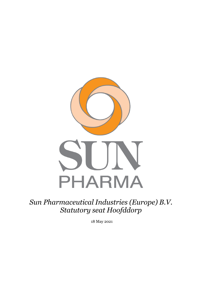

*Sun Pharmaceutical Industries (Europe) B.V. Statutory seat Hoofddorp*

18 May 2021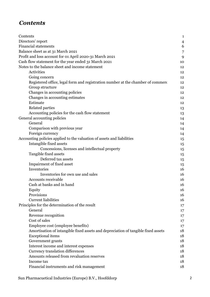## *Contents*

| Contents                                                                          | $\mathbf{1}$   |
|-----------------------------------------------------------------------------------|----------------|
| Directors' report                                                                 | $\overline{4}$ |
| <b>Financial statements</b>                                                       | 6              |
| Balance sheet as at 31 March 2021                                                 | 7              |
| Profit and loss account for 01 April 2020-31 March 2021                           | 9              |
| Cash flow statement for the year ended 31 March 2021                              | 10             |
| Notes to the balance sheet and income statement                                   | 12             |
| Activities                                                                        | 12             |
| Going concern                                                                     | 12             |
| Registered office, legal form and registration number at the chamber of commeror  | 12             |
| Group structure                                                                   | 12             |
| Changes in accounting policies                                                    | 12             |
| Changes in accounting estimates                                                   | 12             |
| Estimate                                                                          | 12             |
| Related parties                                                                   | 13             |
| Accounting policies for the cash flow statement                                   | 13             |
| General accounting policies                                                       | 14             |
| General                                                                           | 14             |
| Comparison with previous year                                                     | 14             |
| Foreign currency                                                                  | 14             |
| Accounting policies applied to the valuation of assets and liabilities            | 15             |
| Intangible fixed assets                                                           | 15             |
| Concessions, licenses and intellectual property                                   | 15             |
| Tangible fixed assets                                                             | 15             |
| Deferred tax assets                                                               | 15             |
| Impairment of fixed asset                                                         | 15             |
| Inventories                                                                       | 16             |
| Inventories for own use and sales                                                 | 16             |
| Accounts receivable                                                               | 16             |
| Cash at banks and in hand                                                         | 16             |
| Equity                                                                            | 16             |
| Provisions                                                                        | 16             |
| <b>Current liabilities</b>                                                        | 16             |
| Principles for the determination of the result                                    | 17             |
| General                                                                           | 17             |
| Revenue recognition                                                               | 17             |
| Cost of sales                                                                     | 17             |
| Employee cost (employee benefits)                                                 | 17             |
| Amortisation of intangible fixed assets and depreciation of tangible fixed assets | 18             |
| <b>Exceptional</b> items                                                          | 18             |
| Government grants                                                                 | 18             |
| Interest income and interest expenses                                             | 18             |
| Currency translation differences                                                  | 18             |
| Amounts released from revaluation reserves                                        | 18             |
| Income tax                                                                        | 18             |
| Financial instruments and risk management                                         | 18             |

Sun Pharmacuetical Industries (Europe) B.V., Hoofddorp 2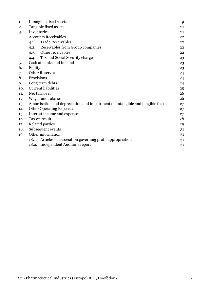| 1.  | Intangible fixed assets                                                         | 19 |
|-----|---------------------------------------------------------------------------------|----|
| 2.  | Tangible fixed assets                                                           | 21 |
| 3.  | Inventories                                                                     | 21 |
| 4.  | <b>Accounts Receivables</b>                                                     | 22 |
|     | <b>Trade Receivables</b><br>4.1.                                                | 22 |
|     | Receivables from Group companies<br>4.2.                                        | 22 |
|     | Other receivables<br>4.3.                                                       | 22 |
|     | Tax and Social Security charges<br>4.4.                                         | 23 |
| 5.  | Cash at banks and in hand                                                       | 23 |
| 6.  | Equity                                                                          | 23 |
| 7.  | <b>Other Reserves</b>                                                           | 24 |
| 8.  | Provisions                                                                      | 24 |
| 9.  | Long term debts                                                                 | 24 |
| 10. | <b>Current liabilities</b>                                                      | 25 |
| 11. | Net turnover                                                                    | 26 |
| 12. | Wages and salaries                                                              | 26 |
| 13. | Amortisation and depreciation and impairment on intangible and tangible fixed a | 27 |
| 14. | <b>Other Operating Expenses</b>                                                 | 27 |
| 15. | Interest income and expense                                                     | 27 |
| 16. | Tax on result                                                                   | 28 |
| 17. | Related parties                                                                 | 29 |
| 18. | Subsequent events                                                               | 31 |
| 19. | Other information                                                               | 31 |
|     | Articles of association governing profit appropriation<br>18.1.                 | 31 |
|     | 18.2. Independent Auditor's report                                              | 31 |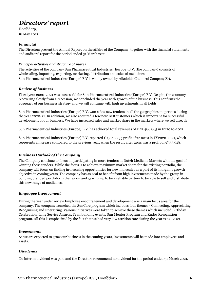## *Directors' report*

Hoofddorp, 18 May 2021

#### *Financial*

The Directors present the Annual Report on the affairs of the Company, together with the financial statements and auditors' report for the period ended 31 March 2021.

#### *Principal activities and structure of shares*

The activities of the company Sun Pharmaceutical Industries (Europe) B.V. (the company) consists of wholesaling, importing, exporting, marketing, distribution and sales of medicines. Sun Pharmaceutical Industries (Europe) B.V is wholly owned by Alkaloida Chemical Company Zrt.

#### *Review of business*

Fiscal year 2020-2021 was successful for Sun Pharmaceutical Industries (Europe) B.V. Despite the economy recovering slowly from a recession, we concluded the year with growth of the business. This confirms the adequacy of our business strategy and we will continue with high investments in all fields.

Sun Pharmaceutical Industries (Europe) B.V. won a few new tenders in all the geographies it operates during the year 2020-21. In addition, we also acquired a few new B2B customers which is important for successful development of our business. We have increased sales and market share in the markets where we sell directly.

Sun Pharmaceutical Industries (Europe) B.V. has achieved total revenues of € 21,486,865 in FY2020-2021.

Sun Pharmaceutical Industries (Europe) B.V. reported € 1,040,235 profit after taxes in FY2020-2021, which represents a increase compared to the previous year, when the result after taxes was a profit of  $\mathfrak{C}_3$ 53,928.

#### *Business Outlook of the Company*

The Company continue to focus on participating in more tenders in Dutch Medicine Markets with the goal of winning those tenders. While the focus is to achieve maximum market share for the existing portfolio, the company will focus on finding in-licensing opportunities for new molecules as a part of its inorganic growth objective in coming years. The company has as goal to benefit from high investments made by the group in building branded portfolio in the region and gearing up to be a reliable partner to be able to sell and distribute this new range of medicines.

#### *Employee Involvement*

During the year under review Employee encouragement and development was a main focus area for the company. The company launched the SunCare program which includes four themes - Connecting, Appreciating, Recognising and Energizing. Various initiatives were taken to achieve these themes which included Birthday Celebration, Long Service Awards, Teambuilding events, Sun Mentor Program and Kudos Recognition program. All this is emphasized by the fact that we had very low attrition rate during the year 2020-2021.

#### *Investments*

As we are expected to grow our business in the coming years, investments will be made into employees and assets.

#### *Dividends*

No interim dividend was paid and the Directors recommend no dividend for the period ended 31 March 2021.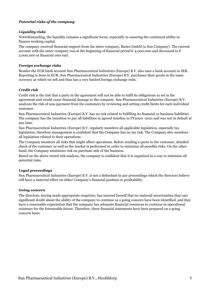#### *Potential risks of the company*

#### *Liquidity risks*

Notwithstanding, the liquidity remains a significant focus, especially in ensuring the continued ability to finance working capital.

The company received financial support from the sister company, Basics GmbH (a Sun Company). The current account with the sister company was at the beginning of financial period  $\epsilon$  4,000,000 and decreased to  $\epsilon$ 2,000,000 at financial year end.

#### *Foreign exchange risks*

Besides the EUR bank account Sun Pharmaceutical Industries (Europe) B.V. also uses a bank account in SEK. Reporting is done in EUR. Sun Pharmaceutical Industries (Europe) B.V. purchases their goods in the same currency as which we sell and thus has a very limited foreign exchange risks.

#### *Credit risk*

Credit risk is the risk that a party in the agreement will not be able to fulfil its obligations as set in the agreement and would cause financial damage to the company. Sun Pharmaceutical Industries (Europe) B.V. analyses the risk of non-payment from the customers by reviewing and setting credit limits for each individual customer.

Sun Pharmaceutical Industries (Europe) B.V. has no risk related to fulfilling its financial or business liabilities. The company has the intention to pay all liabilities in agreed timeline in FY2020 -2021 and was not in default at any time.

Sun Pharmaceutical Industries (Europe) B.V. regularly monitors all applicable legislation, especially tax legislation; therefore management is confident that the Company has no tax risk. The Company also monitors all legislation related to their operations.

The Company monitors all risks that might affect operations. Before sending a quote to the customer, detailed check of the customer as well as the market is performed in order to minimize all possible risks. On the other hand, the Company minimizes risk on purchase side of the business.

Based on the above stated risk analysis, the company is confident that it is organized in a way to minimize all potential risks.

#### *Legal proceedings*

Sun Pharmaceutical Industries (Europe) B.V. is not a defendant in any proceedings which the directors believe will have a material effect on either Company's financial position or profitability.

#### *Going concern*

The directors, having made appropriate enquiries, has assured herself that no material uncertainties that cast significant doubt about the ability of the company to continue as a going concern have been identified, and they have a reasonable expectation that the company has adequate financial resources to continue in operational existence for the foreseeable future. Therefore, these financial statements have been prepared on a going concern basis.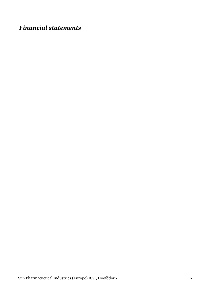# *Financial statements*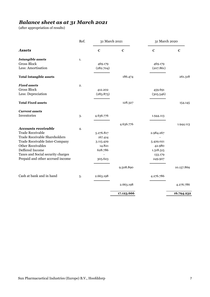### *Balance sheet as at 31 March 2021*

(after appropriation of results)

| <b>Assets</b>                                | €         | €          | €         | €          |
|----------------------------------------------|-----------|------------|-----------|------------|
| <b>Intangible assets</b><br>1.               |           |            |           |            |
| <b>Gross Block</b>                           | 469.179   |            | 469.179   |            |
| Less: Amortisation                           | (282.704) |            | (207.861) |            |
| <b>Total Intangible assets</b>               |           | 186.474    |           | 261.318    |
| <b>Fixed assets</b><br>2.                    |           |            |           |            |
| <b>Gross Block</b>                           | 412.202   |            | 459.691   |            |
| Less: Depreciation                           | (283.875) |            | (305.546) |            |
| <b>Total Fixed assets</b>                    |           | 128.327    |           | 154.145    |
| <b>Current assets</b>                        |           |            |           |            |
| Inventories<br>3.                            | 4.636.776 |            | 1.944.113 |            |
|                                              |           | 4.636.776  |           | 1.944.113  |
| <b>Accounts receivable</b><br>$\overline{4}$ |           |            |           |            |
| <b>Trade Receivable</b>                      | 5.276.817 |            | 2.984.267 |            |
| <b>Trade Receivable Shareholders</b>         | 167.414   |            |           |            |
| Trade Receivable Inter-Company               | 3.115.429 |            | 5.429.021 |            |
| <b>Other Receivables</b>                     | 14.821    |            | 42.980    |            |
| Deffered Income                              | 628.786   |            | 1.318.515 |            |
| Taxes and Social security charges            |           |            | 133.179   |            |
| Prepaid and other accrued income             | 305.623   |            | 249.907   |            |
|                                              |           | 9.508.890  |           | 10.157.869 |
| Cash at bank and in hand<br>5.               | 2.663.198 |            | 4.276.786 |            |
|                                              |           | 2.663.198  |           | 4.276.786  |
|                                              |           | 17.123.666 |           | 16.794.232 |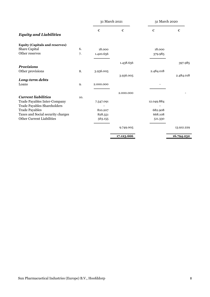|                                       |     | 31 March 2021 |            | 31 March 2020 |            |
|---------------------------------------|-----|---------------|------------|---------------|------------|
|                                       |     | €             | €          | €             | €          |
| <b>Equity and Liabilities</b>         |     |               |            |               |            |
| <b>Equity (Capitals and reserves)</b> |     |               |            |               |            |
| Share Capital                         | 6.  | 18.000        |            | 18.000        |            |
| Other reserves                        | 7.  | 1.420.656     |            | 379.985       |            |
|                                       |     |               | 1.438.656  |               | 397.985    |
| <b>Provisions</b>                     |     |               |            |               |            |
| Other provisions                      | 8.  | 3.936.005     |            | 2.484.018     |            |
|                                       |     |               | 3.936.005  |               | 2.484.018  |
| Long-term debts                       |     |               |            |               |            |
| Loans                                 | 9.  | 2.000.000     |            |               |            |
|                                       |     |               | 2.000.000  |               |            |
| <b>Current liabilities</b>            | 10. |               |            |               |            |
| Trade Payables Inter-Company          |     | 7.547.091     |            | 12.049.884    |            |
| <b>Trade Payables Shareholders</b>    |     |               |            |               |            |
| <b>Trade Payables</b>                 |     | 810.207       |            | 682.908       |            |
| Taxes and Social security charges     |     | 828.551       |            | 668.108       |            |
| Other Current Liabilities             |     | 563.155       |            | 511.330       |            |
|                                       |     |               | 9.749.005  |               | 13.912.229 |
|                                       |     |               | 17.123.666 |               | 16.794.232 |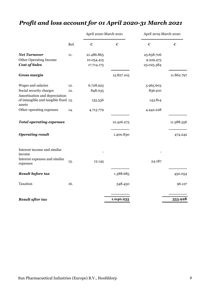# *Profit and loss account for 01 April 2020-31 March 2021*

|                                                |      | April 2020-March 2021 |            | April 2019-March 2020 |            |
|------------------------------------------------|------|-----------------------|------------|-----------------------|------------|
|                                                | Ref. | $\epsilon$            | €          | €                     | €          |
| <b>Net Turnover</b>                            | 11.  | 21.486.865            |            | 25.658.706            |            |
| <b>Other Operating Income</b>                  |      | 10.054.415            |            | 9.229.475             |            |
| <b>Cost of Sales</b>                           |      | 17.714.175            |            | 23.025.384            |            |
| <b>Gross margin</b>                            |      |                       | 13.827.105 |                       | 11.862.797 |
| Wages and salaries                             | 12.  | 6.728.925             |            | 5.965.603             |            |
| Social security charges                        | 12.  | 848.035               |            | 836.910               |            |
| Amortisation and depreciation                  |      |                       |            |                       |            |
| of intangible and tangible fixed 13.<br>assets |      | 135.536               |            | 143.814               |            |
| Other operating expenses                       | 14.  | 4.713.779             |            | 4.442.228             |            |
| <b>Total operating expenses</b>                |      |                       | 12.426.275 |                       | 11.388.556 |
| <b>Operating result</b>                        |      |                       | 1.400.830  |                       | 474.242    |
| Interest income and similar<br>income          |      |                       |            |                       |            |
| Interest expenses and similar<br>expenses      | 15.  | 12.145                |            | 24.187                |            |
| Result before tax                              |      |                       | 1.388.685  |                       | 450.054    |
| Taxation                                       | 16.  |                       | 348.450    |                       | 96.127     |
| Result after tax                               |      |                       | 1.040.235  |                       | 353.928    |
|                                                |      |                       |            |                       |            |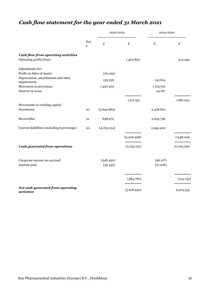# *Cash flow statement for the year ended 31 March 2021*

|                                                     | Not<br>e | 2020-2021   |             | 2019-2020 |            |
|-----------------------------------------------------|----------|-------------|-------------|-----------|------------|
|                                                     |          | €           | €           | €         | €          |
| <b>Cash flow from operating activities</b>          |          |             |             |           |            |
| Operating profit/(loss)                             |          |             | 1.400.830   |           | 474.242    |
| Adjustments for:                                    |          |             |             |           |            |
| Profit on Sales of Assets                           |          | (16.029)    |             |           |            |
| Depreciation, amortisation and other<br>impairments |          | 135.536     |             | 143.814   |            |
| Movement in provisions                              |          | 1.452.424   |             | 1.513.051 |            |
| Interest on Loan                                    |          |             |             | 24.187    |            |
|                                                     |          |             |             |           |            |
|                                                     |          |             | 1.571.931   |           | 1.681.052  |
| Movements in working capital:                       |          |             |             |           |            |
| Inventories                                         | 10.      | (2.692.663) |             | 2.358.810 |            |
| Receivables                                         | 12.      | 648.979     |             | 2.643.796 |            |
| Current liabilities (excluding borrowings)          | 20.      | (4.163.224) |             | 2.945.400 |            |
|                                                     |          |             | (6.206.908) |           | 7.948.006  |
| Cash generated from operations                      |          |             | (3.234.147) |           | 10.103.300 |
|                                                     |          |             |             |           |            |
| Corporate income tax accrued                        |          | (348.450)   |             | (96.127)  |            |
| Interest paid                                       |          | (36.332)    |             | (27.618)  |            |
|                                                     |          |             |             |           |            |
|                                                     |          |             | (384.782)   |           |            |
|                                                     |          |             |             |           | (123.745)  |
| Net cash generated from operating<br>activities     |          |             | (3.618.930) |           | 9.979.555  |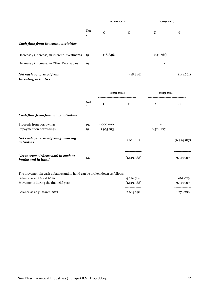|                                                                          |                                              | 2020-2021              |                          | 2019-2020 |                      |
|--------------------------------------------------------------------------|----------------------------------------------|------------------------|--------------------------|-----------|----------------------|
|                                                                          | $\operatorname{\mathsf{Not}}$<br>$\mathbf e$ | €                      | €                        | €         | €                    |
| <b>Cash flow from Investing activities</b>                               |                                              |                        |                          |           |                      |
| Decrease / (Increase) in Current Investments                             | 19.                                          | (18.846)               |                          | (141.661) |                      |
| Decrease / (Increase) in Other Receivables                               | 19.                                          |                        |                          |           |                      |
| Net cash generated from<br><b>Investing activities</b>                   |                                              |                        | (18.846)                 |           | (141.661)            |
|                                                                          |                                              | 2020-2021              |                          | 2019-2020 |                      |
|                                                                          | <b>Not</b><br>e                              | €                      | €                        | €         | €                    |
| <b>Cash flow from financing activities</b>                               |                                              |                        |                          |           |                      |
| Proceeds from borrowings<br>Repayment on borrowings                      | 19.<br>19.                                   | 4.000.000<br>1.975.813 |                          | 6.524.187 |                      |
| Net cash generated from financing<br>activities                          |                                              |                        | 2.024.187                |           | (6.524.187)          |
| Net increase/(decrease) in cash at<br>banks and in hand                  | 14.                                          |                        | (1.613.588)              |           | 3.313.707            |
| The movement in cash at banks and in hand can be broken down as follows: |                                              |                        |                          |           |                      |
| Balance as at 1 April 2020<br>Movements during the financial year        |                                              |                        | 4.276.786<br>(1.613.588) |           | 963.079<br>3.313.707 |
| Balance as at 31 March 2021                                              |                                              |                        | 2.663.198                |           | 4.276.786            |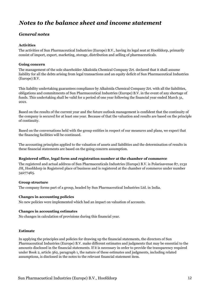## *Notes to the balance sheet and income statement*

### *General notes*

#### **Activities**

The activities of Sun Pharmaceutical Industries (Europe) B.V., having its legal seat at Hoofddorp, primarily consist of import, export, marketing, storage, distribution and selling of pharmaceuticals.

#### **Going concern**

The management of the sole shareholder Alkaloida Chemical Company Zrt. declared that it shall assume liability for all the debts arising from legal transactions and an equity deficit of Sun Pharmaceutical Industries (Europe) B.V.

This liability undertaking guarantees compliance by Alkaloida Chemical Company Zrt. with all the liabilities, obligations and commitments of Sun Pharmaceutical Industries (Europe) B.V. in the event of any shortage of funds. This undertaking shall be valid for a period of one year following the financial year ended March 31, 2021.

Based on the results of the current year and the future outlook management is confident that the continuity of the company is secured for at least one year. Because of that the valuation and results are based on the principle of continuity.

Based on the conversations held with the group entities in respect of our measures and plans, we expect that the financing facilities will be continued.

The accounting principles applied to the valuation of assets and liabilities and the determination of results in these financial statements are based on the going concern assumption.

#### **Registered office, legal form and registration number at the chamber of commerce**

The registered and actual address of Sun Pharmaceuticals Industries (Europe) B.V. is Polarisavenue 87, 2132 JH, Hoofddorp in Registered place of business and is registered at the chamber of commerce under number 34277465.

#### **Group structure**

The company forms part of a group, headed by Sun Pharmaceutical Industries Ltd. in India.

#### **Changes in accounting policies**

No new policies were implemented which had an impact on valuation of accounts.

#### **Changes in accounting estimates**

No changes in calculation of provisions during this financial year.

#### **Estimate**

In applying the principles and policies for drawing up the financial statements, the directors of Sun Pharmaceutical Industries (Europe) B.V. make different estimates and judgments that may be essential to the amounts disclosed in the financial statements. If it is necessary in order to provide the transparency required under Book 2, article 362, paragraph 1, the nature of these estimates and judgments, including related assumptions, is disclosed in the notes to the relevant financial statement item.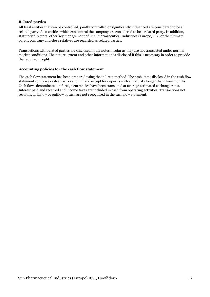#### **Related parties**

All legal entities that can be controlled, jointly controlled or significantly influenced are considered to be a related party. Also entities which can control the company are considered to be a related party. In addition, statutory directors, other key management of Sun Pharmaceutical Industries (Europe) B.V. or the ultimate parent company and close relatives are regarded as related parties.

Transactions with related parties are disclosed in the notes insofar as they are not transacted under normal market conditions. The nature, extent and other information is disclosed if this is necessary in order to provide the required insight.

#### **Accounting policies for the cash flow statement**

The cash flow statement has been prepared using the indirect method. The cash items disclosed in the cash flow statement comprise cash at banks and in hand except for deposits with a maturity longer than three months. Cash flows denominated in foreign currencies have been translated at average estimated exchange rates. Interest paid and received and income taxes are included in cash from operating activities. Transactions not resulting in inflow or outflow of cash are not recognised in the cash flow statement.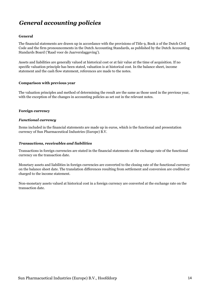# *General accounting policies*

#### **General**

The financial statements are drawn up in accordance with the provisions of Title 9, Book 2 of the Dutch Civil Code and the firm pronouncements in the Dutch Accounting Standards, as published by the Dutch Accounting Standards Board ('Raad voor de Jaarverslaggeving').

Assets and liabilities are generally valued at historical cost or at fair value at the time of acquisition. If no specific valuation principle has been stated, valuation is at historical cost. In the balance sheet, income statement and the cash flow statement, references are made to the notes.

#### **Comparison with previous year**

The valuation principles and method of determining the result are the same as those used in the previous year, with the exception of the changes in accounting policies as set out in the relevant notes.

#### **Foreign currency**

#### *Functional currency*

Items included in the financial statements are made up in euros, which is the functional and presentation currency of Sun Pharmaceutical Industries (Europe) B.V.

#### *Transactions, receivables and liabilities*

Transactions in foreign currencies are stated in the financial statements at the exchange rate of the functional currency on the transaction date.

Monetary assets and liabilities in foreign currencies are converted to the closing rate of the functional currency on the balance sheet date. The translation differences resulting from settlement and conversion are credited or charged to the income statement.

Non-monetary assets valued at historical cost in a foreign currency are converted at the exchange rate on the transaction date.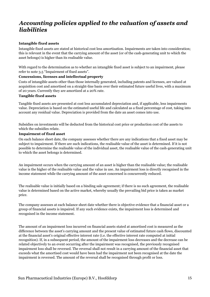## *Accounting policies applied to the valuation of assets and liabilities*

#### **Intangible fixed assets**

Intangible fixed assets are stated at historical cost less amortisation. Impairments are taken into consideration; this is relevant in the event that the carrying amount of the asset (or of the cash-generating unit to which the asset belongs) is higher than its realisable value.

With regard to the determination as to whether an intangible fixed asset is subject to an impairment, please refer to note 3.5 "Impairment of fixed assets".

#### **Concessions, licenses and intellectual property**

Costs of intangible assets other than those internally generated, including patents and licenses, are valued at acquisition cost and amortised on a straight-line basis over their estimated future useful lives, with a maximum of 20 years. Currently they are amortized at a 20% rate.

#### **Tangible fixed assets**

Tangible fixed assets are presented at cost less accumulated depreciation and, if applicable, less impairments value. Depreciation is based on the estimated useful life and calculated as a fixed percentage of cost, taking into account any residual value. Depreciation is provided from the date an asset comes into use.

Subsidies on investments will be deducted from the historical cost price or production cost of the assets to which the subsidies relate.

#### **Impairment of fixed asset**

On each balance sheet date, the company assesses whether there are any indications that a fixed asset may be subject to impairment. If there are such indications, the realisable value of the asset is determined. If it is not possible to determine the realisable value of the individual asset, the realisable value of the cash-generating unit to which the asset belongs is determined.

An impairment occurs when the carrying amount of an asset is higher than the realisable value; the realisable value is the higher of the realisable value and the value in use. An impairment loss is directly recognised in the income statement while the carrying amount of the asset concerned is concurrently reduced.

The realisable value is initially based on a binding sale agreement; if there is no such agreement, the realisable value is determined based on the active market, whereby usually the prevailing bid price is taken as market price.

The company assesses at each balance sheet date whether there is objective evidence that a financial asset or a group of financial assets is impaired. If any such evidence exists, the impairment loss is determined and recognised in the income statement.

The amount of an impairment loss incurred on financial assets stated at amortised cost is measured as the difference between the asset's carrying amount and the present value of estimated future cash flows, discounted at the financial asset's original effective interest rate (i.e. the effective interest rate computed at initial recognition). If, in a subsequent period, the amount of the impairment loss decreases and the decrease can be related objectively to an event occurring after the impairment was recognised, the previously recognised impairment loss shall be reversed. The reversal shall not result in a carrying amount of the financial asset that exceeds what the amortised cost would have been had the impairment not been recognised at the date the impairment is reversed. The amount of the reversal shall be recognised through profit or loss.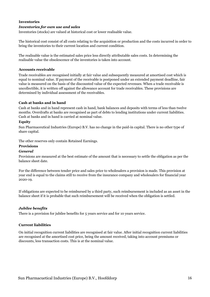#### **Inventories**

#### *Inventories for own use and sales*

Inventories (stocks) are valued at historical cost or lower realisable value.

The historical cost consist of all costs relating to the acquisition or production and the costs incurred in order to bring the inventories to their current location and current condition.

The realisable value is the estimated sales price less directly attributable sales costs. In determining the realisable value the obsolescence of the inventories is taken into account.

#### **Accounts receivable**

Trade receivables are recognised initially at fair value and subsequently measured at amortised cost which is equal to nominal value. If payment of the receivable is postponed under an extended payment deadline, fair value is measured on the basis of the discounted value of the expected revenues. When a trade receivable is uncollectible, it is written off against the allowance account for trade receivables. These provisions are determined by individual assessment of the receivables.

#### **Cash at banks and in hand**

Cash at banks and in hand represent cash in hand, bank balances and deposits with terms of less than twelve months. Overdrafts at banks are recognised as part of debts to lending institutions under current liabilities. Cash at banks and in hand is carried at nominal value.

#### **Equity**

Sun Pharmaceutical Industries (Europe) B.V. has no change in the paid-in capital. There is no other type of share capital.

The other reserves only contain Retained Earnings.

#### **Provisions**

#### *General*

Provisions are measured at the best estimate of the amount that is necessary to settle the obligation as per the balance sheet date.

For the difference between tender price and sales price to wholesalers a provision is made. This provision at year end is equal to the claims still to receive from the insurance company and wholesalers for financial year 2020-19.

If obligations are expected to be reimbursed by a third party, such reimbursement is included as an asset in the balance sheet if it is probable that such reimbursement will be received when the obligation is settled.

#### *Jubilee benefits*

There is a provision for jubilee benefits for 5 years service and for 10 years service.

#### **Current liabilities**

On initial recognition current liabilities are recognised at fair value. After initial recognition current liabilities are recognised at the amortised cost price, being the amount received, taking into account premiums or discounts, less transaction costs. This is at the nominal value.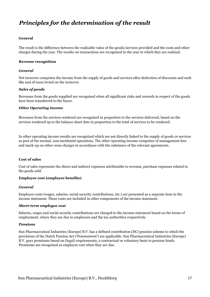## *Principles for the determination of the result*

#### **General**

The result is the difference between the realisable value of the goods/services provided and the costs and other charges during the year. The results on transactions are recognised in the year in which they are realized.

#### **Revenue recognition**

#### *General*

Net turnover comprises the income from the supply of goods and services after deduction of discounts and such like and of taxes levied on the turnover.

#### *Sales of goods*

Revenues from the goods supplied are recognised when all significant risks and rewards in respect of the goods have been transferred to the buyer.

#### *Other Operating income*

Revenues from the services rendered are recognised in proportion to the services delivered, based on the services rendered up to the balance sheet date in proportion to the total of services to be rendered.

In other operating income results are recognized which are not directly linked to the supply of goods or services as part of the normal, non-incidental operations. The other operating income comprises of management fees and mark-up on other cross charges in accordance with the substance of the relevant agreements.

#### **Cost of sales**

Cost of sales represents the direct and indirect expenses attributable to revenue, purchase expenses related to the goods sold.

#### **Employee cost (employee benefits)**

#### *General*

Employee costs (wages, salaries, social security contributions, etc.) are presented as a separate item in the income statement. These costs are included in other components of the income statement.

#### *Short-term employee cost*

Salaries, wages and social security contributions are charged to the income statement based on the terms of employment, where they are due to employees and the tax authorities respectively.

#### *Pensions*

Sun Pharmaceutical Industries (Europe) B.V. has a defined contribution (DC) pension scheme to which the provisions of the Dutch Pension Act ('Pensioenwet') are applicable. Sun Pharmaceutical Industries (Europe) B.V. pays premiums based on (legal) requirements, a contractual or voluntary basis to pension funds. Premiums are recognised as employee cost when they are due.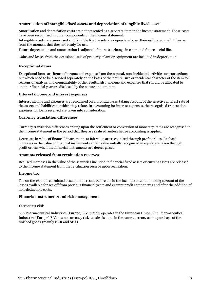#### **Amortisation of intangible fixed assets and depreciation of tangible fixed assets**

Amortisation and depreciation costs are not presented as a separate item in the income statement. These costs have been recognised in other components of the income statement.

Intangible assets, are amortised and tangible fixed assets are depreciated over their estimated useful lives as from the moment that they are ready for use.

Future depreciation and amortisation is adjusted if there is a change in estimated future useful life.

Gains and losses from the occasional sale of property, plant or equipment are included in depreciation.

#### **Exceptional items**

Exceptional items are items of income and expense from the normal, non-incidental activities or transactions, but which need to be disclosed separately on the basis of the nature, size or incidental character of the item for reasons of analysis and comparability of the results. Also, income and expenses that should be allocated to another financial year are disclosed by the nature and amount.

#### **Interest income and interest expenses**

Interest income and expenses are recognised on a pro rata basis, taking account of the effective interest rate of the assets and liabilities to which they relate. In accounting for interest expenses, the recognised transaction expenses for loans received are taken into consideration.

#### **Currency translation differences**

Currency translation differences arising upon the settlement or conversion of monetary items are recognised in the income statement in the period that they are realised, unless hedge accounting is applied.

Decreases in value of financial instruments at fair value are recognised through profit or loss. Realised increases in the value of financial instruments at fair value initially recognised in equity are taken through profit or loss when the financial instruments are derecognised.

#### **Amounts released from revaluation reserves**

Realised increases in the value of the securities included in financial fixed assets or current assets are released to the income statement from the revaluation reserve upon realisation.

#### **Income tax**

Tax on the result is calculated based on the result before tax in the income statement, taking account of the losses available for set-off from previous financial years and exempt profit components and after the addition of non-deductible costs.

#### **Financial instruments and risk management**

#### *Currency risk*

Sun Pharmaceutical Industries (Europe) B.V. mainly operates in the European Union. Sun Pharmaceutical Industries (Europe) B.V. has no currency risk as sales is done in the same currency as the purchase of the finished goods (mainly EUR and SEK).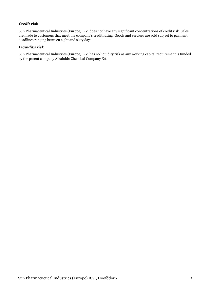#### *Credit risk*

Sun Pharmaceutical Industries (Europe) B.V. does not have any significant concentrations of credit risk. Sales are made to customers that meet the company's credit rating. Goods and services are sold subject to payment deadlines ranging between eight and sixty days.

#### *Liquidity risk*

Sun Pharmaceutical Industries (Europe) B.V. has no liquidity risk as any working capital requirement is funded by the parent company Alkaloida Chemical Company Zrt.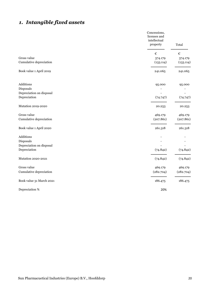## *1. Intangible fixed assets*

|                          | Concessions,<br>licenses and<br>intellectual<br>property | Total     |
|--------------------------|----------------------------------------------------------|-----------|
|                          | €                                                        | €         |
| Gross value              | 374.179                                                  | 374.179   |
| Cumulative depreciation  | (133.114)                                                | (133.114) |
| Book value 1 April 2019  | 241.065                                                  | 241.065   |
| Additions                | 95.000                                                   | 95.000    |
| Disposals                |                                                          |           |
| Depreciation on disposal |                                                          |           |
| Depreciation             | (74.747)                                                 | (74.747)  |
| Mutation 2019-2020       | 20.253                                                   | 20.253    |
| Gross value              | 469.179                                                  | 469.179   |
| Cumulative depreciation  | (207.861)                                                | (207.861) |
| Book value 1 April 2020  | 261.318                                                  | 261.318   |
| Additions                |                                                          |           |
| Disposals                |                                                          |           |
| Depreciation on disposal |                                                          |           |
| Depreciation             | (74.842)                                                 | (74.842)  |
| Mutation 2020-2021       | (74.842)                                                 | (74.842)  |
| Gross value              | 469.179                                                  | 469.179   |
| Cumulative depreciation  | (282.704)                                                | (282.704) |
| Book value 31 March 2021 | 186.475                                                  | 186.475   |
| Depreciation %           | 20%                                                      |           |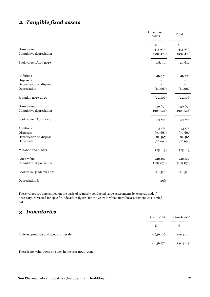## *2. Tangible fixed assets*

|                          | Other fixed<br>assets | Total      |
|--------------------------|-----------------------|------------|
|                          | $\epsilon$            | $\epsilon$ |
| Gross value              | 413.030               | 413.030    |
| Cumulative depreciation  | (236.479)             | (236.479)  |
| Book value 1 April 2019  | 176.551               | 20.647     |
| Additions                | 46.661                | 46.661     |
| Disposals                |                       |            |
| Depreciation on disposal |                       |            |
| Depreciation             | (69.067)              | (69.067)   |
| Mutation 2019-2020       | (22.406)              | (22.406)   |
| Gross value              | 459.691               | 459.691    |
| Cumulative depreciation  | (305.546)             | (305.546)  |
| Book value 1 April 2020  | 154.145               | 154.145    |
| Additions                | 43.175                | 43.175     |
| Disposals                | (90.667)              | (90.667)   |
| Depreciation on disposal | 82.367                | 82.367     |
| Depreciation             | (60.694)              | (60.694)   |
| Mutation 2020-2021       | (25.819)              | (25.819)   |
| Gross value              | 412.199               | 412.199    |
| Cumulative depreciation  | (283.874)             | (283.874)  |
| Book value 31 March 2021 | 128.326               | 128.326    |
| Depreciation %           | 20%                   |            |

These values are determined on the basis of regularly conducted value assessments by experts, and, if necessary, corrected for specific indexation figures for the years in which no value assessment was carried out.

## *3. Inventories*

|                                        | 31-mrt-2021 | 31-mrt-2020 |
|----------------------------------------|-------------|-------------|
|                                        | €           | €           |
| Finished products and goods for resale | 4.636.776   | 1.944.113   |
|                                        | 4.636.776   | 1.944.113   |

There is no write-down on stock in the year 2020-2021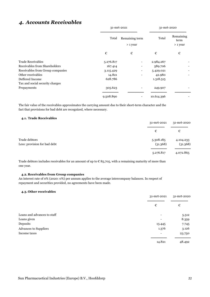## *4. Accounts Receivables*

|                                  | 31-mrt-2021                         |   | 31-mrt-2020 |                                 |
|----------------------------------|-------------------------------------|---|-------------|---------------------------------|
|                                  | Remaining term<br>Total<br>> 1 year |   | Total       | Remaining<br>term<br>$> 1$ year |
|                                  | €                                   | € | €           | €                               |
| <b>Trade Receivables</b>         | 5.276.817                           |   | 2.984.267   |                                 |
| Receivables from Shareholders    | 167.414                             |   | 589.706     |                                 |
| Receivables from Group companies | 3.115.429                           |   | 5.429.021   |                                 |
| Other receivables                | 14.821                              |   | 42.980      |                                 |
| Deffered Income                  | 628.786                             |   | 1.318.515   |                                 |
| Tax and social security charges  |                                     |   |             |                                 |
| Prepayments                      | 305.623                             |   | 249.907     |                                 |
|                                  | 9.508.890                           |   | 10.614.396  |                                 |

The fair value of the receivables approximates the carrying amount due to their short-term character and the fact that provisions for bad debt are recognized, where necessary.

#### **4.1. Trade Receivables**

|                                               | 31-mrt-2021           | 31-mrt-2020           |
|-----------------------------------------------|-----------------------|-----------------------|
|                                               | €                     | €                     |
| Trade debtors<br>Less: provision for bad debt | 5.308.185<br>(31.368) | 4.104.233<br>(31.368) |
|                                               | 5.276.817             | 4.072.865             |

Trade debtors includes receivables for an amount of up to  $\epsilon$  85,705, with a remaining maturity of more than one year.

#### **4.2. Receivables from Group companies**

An interest rate of 0% (2020: 0%) per annum applies to the average intercompany balances. In respect of repayment and securities provided, no agreements have been made.

#### **4.3. Other receivables**

|                              | 31-mrt-2021 | 31-mrt-2020<br>€ |
|------------------------------|-------------|------------------|
|                              | €           |                  |
| Loans and advances to staff  |             | 5.512            |
| Loans given                  |             | 8.359            |
| Deposits                     | 13.445      | 7.745            |
| <b>Advances to Suppliers</b> | 1.376       | 3.126            |
| Income taxes                 | -           | 23.750           |
|                              | 14.821      | 48.492           |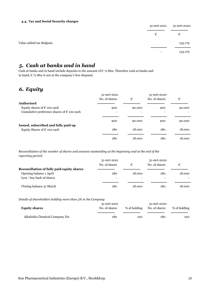#### **4.4. Tax and Social Security charges**

|                         | 31-mrt-2021 | 31-mrt-2020 |
|-------------------------|-------------|-------------|
|                         | €           | €           |
| Value added tax Belgium |             | 133.179     |
|                         | -           | 133.179     |

### *5. Cash at banks and in hand*

Cash at banks and in hand include deposits to the amount of  $\epsilon$  71.862. Therefore cash at banks and in hand,  $\epsilon$  71.862 is not at the company's free disposal.

## *6. Equity*

|                                                                       | 31-mrt-2021<br>No. of shares | €      | 31-mrt-2020<br>No. of shares | €      |
|-----------------------------------------------------------------------|------------------------------|--------|------------------------------|--------|
| <b>Authorised</b>                                                     |                              |        |                              |        |
| Equity shares of $E$ 100 each                                         | 900                          | 90.000 | 900                          | 90.000 |
| Cumulative preference shares of $\epsilon$ 100 each                   | $\overline{\phantom{0}}$     | -      |                              |        |
|                                                                       | 900                          | 90.000 | 900                          | 90.000 |
| Issued, subscribed and fully paid up<br>Equity Shares of $E$ 100 each | 180                          | 18.000 | 180                          | 18.000 |
|                                                                       | 180                          | 18.000 | 180                          | 18.000 |

*Reconciliation of the number of shares and amount outstanding at the beginning and at the end of the reporting period:*

|                                            | 31-mrt-2021              |        | 31-mrt-2020   |        |
|--------------------------------------------|--------------------------|--------|---------------|--------|
|                                            | No. of shares            |        | No. of shares | €      |
| Reconciliation of fully paid equity shares |                          |        |               |        |
| Opening balance 1 April                    | 180                      | 18.000 | 180           | 18.000 |
| Less: buy back of shares                   | $\overline{\phantom{a}}$ |        |               |        |
| Closing balance 31 March                   | 180                      | 18.000 | 180           | 18.000 |

*Details of shareholders holding more than 5% in the Company*

| <b>Equity shares</b>            | 31-mrt-2021<br>No. of shares | % of holding | 31-mrt-2020<br>No. of shares | % of holding |
|---------------------------------|------------------------------|--------------|------------------------------|--------------|
| Alkaloida Chemical Company Zrt. | 180                          | 100          | 180                          | 100          |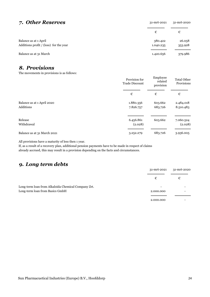### *7. Other Reserves* 31-mrt-2021 31-mrt-2020

|                                        | €         | €       |
|----------------------------------------|-----------|---------|
| Balance as at 1 April                  | 380.422   | 26.058  |
| Additions profit / (loss) for the year | 1.040.235 | 353.928 |
| Balance as at 31 March                 | 1.420.656 | 379.986 |

### *8. Provisions*

The movements in provisions is as follows:

| $\mathbf{r}$                | Provision for<br>Trade Discount | Employee<br>related<br>provision | <b>Total Other</b><br>Provisions |
|-----------------------------|---------------------------------|----------------------------------|----------------------------------|
|                             | €                               | €                                | €                                |
| Balance as at 1 April 2020  | 1.880.356                       | 603.662                          | 2.484.018                        |
| Additions                   | 7.826.757                       | 683.726                          | 8.510.483                        |
| Release                     | 6.456.861                       | 603.662                          | 7.060.524                        |
| Withdrawal                  | (2.028)                         |                                  | (2.028)                          |
| Balance as at 31 March 2021 | 3.252.279                       | 683.726                          | 3.936.005                        |

All provisions have a maturity of less then 1 year.

If, as a result of a recovery plan, additional pension payments have to be made in respect of claims already accrued, this may result in a provision depending on the facts and circumstances.

## *9. Long term debts*

|                                                     | 31-mrt-2021 | 31-mrt-2020 |
|-----------------------------------------------------|-------------|-------------|
|                                                     | €           | €           |
| Long-term loan from Alkaloida Chemical Company Zrt. |             |             |
| Long-term loan from Basics GmbH                     | 2.000.000   |             |
|                                                     |             |             |
|                                                     | 2.000.000   |             |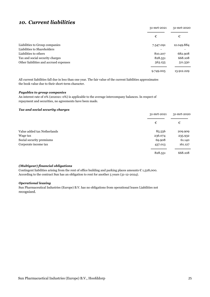### *10. Current liabilities*

|                                        | 31-mrt-2021 | 31-mrt-2020 |
|----------------------------------------|-------------|-------------|
|                                        | €           | €           |
| Liabilities to Group companies         | 7.547.091   | 12.049.884  |
| Liabilities to Shareholders            |             |             |
| Liabilities to others                  | 810.207     | 682.908     |
| Tax and social security charges        | 828.551     | 668.108     |
| Other liabilities and accrued expenses | 563.155     | 511.330     |
|                                        | 9.749.005   | 13.912.229  |

All current liabilities fall due in less than one year. The fair value of the current liabilities approximates the book value due to their short-term character.

#### *Payables to group companies*

An interest rate of 0% (202021: 0%) is applicable to the average intercompany balances. In respect of repayment and securities, no agreements have been made.

#### *Tax and social security charges*

|                             | 31-mrt-2021 | 31-mrt-2020 |
|-----------------------------|-------------|-------------|
|                             | €           | €           |
| Value added tax Netherlands | 85.556      | 209.909     |
| Wage tax                    | 236.074     | 235.932     |
| Social security premiums    | 69.908      | 61.140      |
| Corporate income tax        | 437.013     | 161.127     |
|                             | 828.551     | 668.108     |

#### *(Multiyear) financial obligations*

Contingent liabilities arising from the rent of office building and parking places amounts  $\epsilon$  1,528,000. According to the contract Sun has an obligation to rent for another 5 years (31-12-2024).

#### *Operational leasing*

Sun Pharmaceutical Industries (Europe) B.V. has no obligations from operational leases Liabilities not recognized.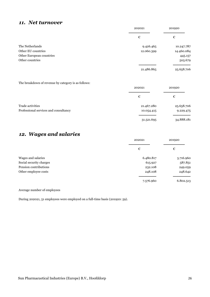### *11. Net turnover*

|                          | 202021     | 201920     |
|--------------------------|------------|------------|
|                          | €          | €          |
| The Netherlands          | 9.426.465  | 10.247.787 |
| Other EU countries       | 12.060.399 | 14.460.084 |
| Other European countries |            | 445.157    |
| Other countries          |            | 505.679    |
|                          |            |            |
|                          | 21.486.865 | 25.658.706 |

#### The breakdown of revenue by category is as follows:

| $\tilde{\phantom{a}}$<br>$\sim$       | 202021     | 201920     |
|---------------------------------------|------------|------------|
|                                       | €          | €          |
| Trade activities                      | 21.467.280 | 25.658.706 |
| Professional services and consultancy | 10.054.415 | 9.229.475  |
|                                       | 31.521.695 | 34.888.181 |

## *12. Wages and salaries*

|                         | 202021<br>€ | 201920<br>€ |
|-------------------------|-------------|-------------|
|                         |             |             |
| Wages and salaries      | 6.480.817   | 5.716.960   |
| Social security charges | 615.927     | 587.851     |
| Pension contributions   | 232.108     | 249.059     |
| Other employee costs    | 248.108     | 248.642     |
|                         | 7.576.960   | 6.802.513   |

#### Average number of employees

During 202021, 51 employees were employed on a full-time basis (201920: 59).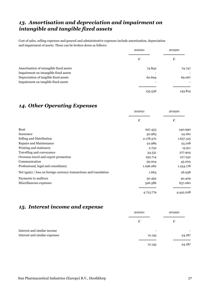## *13. Amortisation and depreciation and impairment on intangible and tangible fixed assets*

Cost of sales, selling expenses and general and administrative expenses include amortisation, depreciation and impairment of assets. These can be broken down as follows:

|                                         | 202021  | 201920  |
|-----------------------------------------|---------|---------|
|                                         | €       | €       |
| Amortisation of intangible fixed assets | 74.842  | 74.747  |
| Impairment on intangible fixed assets   |         |         |
| Depreciation of tangible fixed assets   | 60.694  | 69.067  |
| Impairment on tangible fixed assets     |         |         |
|                                         | 135.536 | 143.814 |

### *14. Other Operating Expenses*

|                                                                    | 202021    | 201920    |
|--------------------------------------------------------------------|-----------|-----------|
|                                                                    | €         | €         |
| Rent                                                               | 297.433   | 240.990   |
| Insurance                                                          | 30.983    | 24.160    |
| Selling and Distribution                                           | 2.178.370 | 1.637.315 |
| Repairs and Maintenance                                            | 22.989    | 25.108    |
| Printing and stationery                                            | 2.732     | 15.911    |
| Travelling and conveyance                                          | 34.531    | 277.904   |
| Overseas travel and export promotion                               | 252.714   | 217.252   |
| Communication                                                      | 39.004    | 45.003    |
| Professional, legal and consultancy                                | 1.296.282 | 1.254.178 |
| Net (gain) / loss on foreign currency transactions and translation | 1.663     | 26.938    |
| Payments to auditors                                               | 30.492    | 40.409    |
| Miscellaneous expenses                                             | 526.586   | 637.060   |
|                                                                    | 4.713.779 | 4.442.228 |

### *15. Interest income and expense*

|                               | 202021                   | 201920                   |
|-------------------------------|--------------------------|--------------------------|
|                               | €                        | €                        |
| Interest and similar income   | $\overline{\phantom{a}}$ | $\overline{\phantom{a}}$ |
| Interest and similar expenses | 12.145                   | 24.187                   |
|                               |                          |                          |
|                               | 12.145                   | 24.187                   |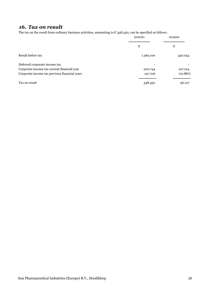## *16. Tax on result*

The tax on the result from ordinary business activities, amounting to  $\epsilon$  348.450, can be specified as follows:

|                                               | 202021    | 201920   |
|-----------------------------------------------|-----------|----------|
|                                               | €         | €        |
| Result before tax                             | 1.369.100 | 450.054  |
| Deferred corporate income tax                 |           |          |
| Corporate income tax current financial year   | 200.744   | 107.014  |
| Corporate income tax previous financial years | 147.706   | (10.887) |
| Tax on result                                 | 348.450   | 96.127   |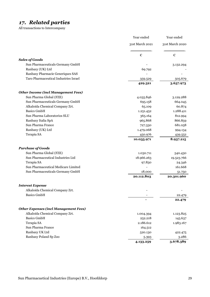# *17. Related parties*

All transactions to Intercompany

|                                              | Year ended      | Year ended      |
|----------------------------------------------|-----------------|-----------------|
|                                              | 31st March 2021 | 31st March 2020 |
|                                              | €               | €               |
| <b>Sales of Goods</b>                        |                 |                 |
| Sun Pharmaceuticals Germany GmbH             |                 | 3.132.294       |
| Ranbaxy (UK) Ltd                             | 69.792          |                 |
| Ranbaxy Pharmacie Generiques SAS             |                 |                 |
| Taro Pharmaceutical Industries Israel        | 359.529         | 505.679         |
|                                              | 429.321         | 3.637.973       |
| <b>Other Income (incl Management Fees)</b>   |                 |                 |
| Sun Pharma Global (FZE)                      | 4.035.846       | 3.129.288       |
| Sun Pharmaceuticals Germany GmbH             | 695.158         | 664.045         |
| Alkaloida Chemical Company Zrt.              | 65.109          | 60.874          |
| <b>Basics GmbH</b>                           | 1.251.452       | 1.288.411       |
| Sun Pharma Laboratorios SLU                  | 365.164         | 812.994         |
| Ranbaxy Italia SpA                           | 965.868         | 866.859         |
| Sun Pharma France                            | 727.330         | 681.058         |
| Ranbaxy (UK) Ltd                             | 1.479.068       | 994.134         |
| Terapia SA                                   | 450.976         | 439.552         |
|                                              | 10.035.971      | 8.937.215       |
| <b>Purchase of Goods</b>                     |                 |                 |
| Sun Pharma Global (FZE)                      | 1.030.711       | 540.430         |
| Sun Pharmaceutical Industries Ltd            | 18.966.263      | 19.523.766      |
| Terapia SA                                   | 97.830          | 24.346          |
| Sun Pharmaceutical Medicare Limited          |                 | 161.668         |
| Sun Pharmaceuticals Germany GmbH             | 18.000          | 51.750          |
|                                              | 20.112.803      | 20.301.960      |
| <b>Interest Expense</b>                      |                 |                 |
| Alkaloida Chemical Company Zrt.              |                 |                 |
| <b>Basics GmbH</b>                           |                 | 22.479          |
|                                              |                 | 22.479          |
| <b>Other Expenses (incl Management Fees)</b> |                 |                 |
| Alkaloida Chemical Company Zrt.              | 1.004.394       | 1.123.825       |
| <b>Basics GmbH</b>                           | 252.218         | 145.637         |
| Terapia SA                                   | 2.186.612       | 1.983.167       |
| Sun Pharma France                            | 164.512         |                 |
| Ranbaxy UK Ltd                               | 520.130         | 422.475         |
| Ranbaxy Poland Sp Zoo                        | 5.393           | 3.286           |
|                                              | 4.133.259       | 3.678.389       |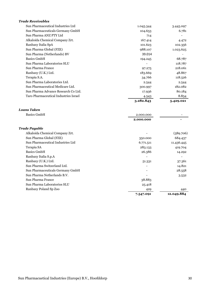| <b>Trade Receivables</b>              |           |            |
|---------------------------------------|-----------|------------|
| Sun Pharmaceutical Industries Ltd     | 1.045.344 | 3.445.097  |
| Sun Pharmaceuticals Germany GmbH      | 104.653   | 6.781      |
| Sun Pharma ANZ PTY Ltd                | 714       |            |
| Alkaloida Chemical Company Zrt.       | 167.414   | 4.472      |
| Ranbaxy Italia SpA                    | 101.623   | 102.356    |
| Sun Pharma Global (FZE)               | 988.107   | 1.023.625  |
| Sun Pharma (Netherlands) BV           | 39.014    |            |
| <b>Basics GmbH</b>                    | 194.245   | 68.787     |
| Sun Pharma Laboratorios SLU           |           | 118.787    |
| Sun Pharma France                     | 97.275    | 218.061    |
| Ranbaxy (U.K.) Ltd.                   | 183.669   | 48.867     |
| Terapia S.A.                          | 34.766    | 118.526    |
| Sun Pharma Laboratories Ltd.          | 2.544     | 2.544      |
| Sun Pharmaceutical Medicare Ltd.      | 300.997   | 182.082    |
| Sun Pharma Advance Research Co Ltd.   | 17.936    | 80.184     |
| Taro Pharmaceutical Industries Israel | 4.543     | 8.854      |
|                                       | 3.282.843 | 5.429.021  |
| Loans Taken                           |           |            |
| <b>Basics GmbH</b>                    | 2.000.000 |            |
|                                       | 2.000.000 |            |
| Trade Payable                         |           |            |
| Alkaloida Chemical Company Zrt.       |           | (589.706)  |
| Sun Pharma Global (FZE)               | 350.000   | 684.437    |
| Sun Pharmaceutical Industries Ltd     | 6.771.511 | 11.436.445 |
| Terapia SA                            | 283.133   | 419.704    |
| <b>Basics GmbH</b>                    | 26.386    | 14.292     |
| Ranbaxy Italia S.p.A                  |           |            |
| Ranbaxy (U.K.) Ltd.                   | 51.331    | 37.361     |
| Sun Pharma Switzerland Ltd.           |           | 14.821     |
| Sun Pharmaceuticals Germany GmbH      |           | 28.558     |
| Sun Pharma Netherlands B.V.           |           | 3.532      |
| Sun Pharma France                     | 38.883    |            |
| Sun Pharma Laboratorios SLU           | 25.418    |            |
| Ranbaxy Poland Sp Zoo                 | 429       | 440        |

 **7.547.091 12.049.884**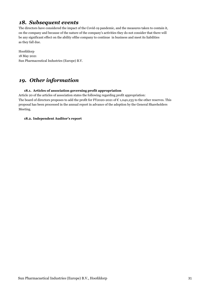### *18. Subsequent events*

The directors have considered the impact of the Covid-19 pandemic, and the measures taken to contain it, on the company and because of the nature of the company's activities they do not consider that there will be any significant effect on the ability ofthe company to continue in business and meet its liabilities as they fall due.

Hoofddorp Sun Pharmaceutical Industries (Europe) B.V. 18 May 2021

## *19. Other information*

#### **18.1. Articles of association governing profit appropriation**

Article 20 of the articles of association states the following regarding profit appropriation: The board of directors proposes to add the profit for FY2020-2021 of  $\epsilon$  1,040,235 to the other reserves. This proposal has been processed in the annual report in advance of the adoption by the General Shareholders Meeting.

#### **18.2. Independent Auditor's report**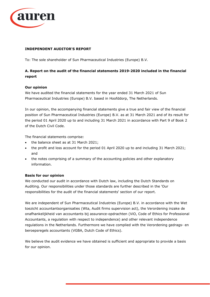

#### **INDEPENDENT AUDITOR'S REPORT**

To: The sole shareholder of Sun Pharmaceutical Industries (Europe) B.V.

#### **A. Report on the audit of the financial statements 2019-2020 included in the financial report**

#### **Our opinion**

We have audited the financial statements for the year ended 31 March 2021 of Sun Pharmaceutical Industries (Europe) B.V. based in Hoofddorp, The Netherlands.

In our opinion, the accompanying financial statements give a true and fair view of the financial position of Sun Pharmaceutical Industries (Europe) B.V. as at 31 March 2021 and of its result for the period 01 April 2020 up to and including 31 March 2021 in accordance with Part 9 of Book 2 of the Dutch Civil Code.

The financial statements comprise:

- the balance sheet as at 31 March 2021;
- the profit and loss account for the period 01 April 2020 up to and including 31 March 2021; and
- the notes comprising of a summary of the accounting policies and other explanatory information.

#### **Basis for our opinion**

We conducted our audit in accordance with Dutch law, including the Dutch Standards on Auditing. Our responsibilities under those standards are further described in the 'Our responsibilities for the audit of the financial statements' section of our report.

We are independent of Sun Pharmaceutical Industries (Europe) B.V. in accordance with the Wet toezicht accountantsorganisaties (Wta, Audit firms supervision act), the Verordening inzake de onafhankelijkheid van accountants bij assurance-opdrachten (ViO, Code of Ethics for Professional Accountants, a regulation with respect to independence) and other relevant independence regulations in the Netherlands. Furthermore we have complied with the Verordening gedrags- en beroepsregels accountants (VGBA, Dutch Code of Ethics).

We believe the audit evidence we have obtained is sufficient and appropriate to provide a basis for our opinion.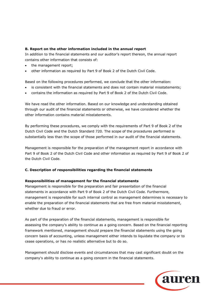#### **B. Report on the other information included in the annual report**

In addition to the financial statements and our auditor's report thereon, the annual report contains other information that consists of:

- the management report;
- other information as required by Part 9 of Book 2 of the Dutch Civil Code.

Based on the following procedures performed, we conclude that the other information:

- is consistent with the financial statements and does not contain material misstatements;
- contains the information as required by Part 9 of Book 2 of the Dutch Civil Code.

We have read the other information. Based on our knowledge and understanding obtained through our audit of the financial statements or otherwise, we have considered whether the other information contains material misstatements.

By performing these procedures, we comply with the requirements of Part 9 of Book 2 of the Dutch Civil Code and the Dutch Standard 720. The scope of the procedures performed is substantially less than the scope of those performed in our audit of the financial statements.

Management is responsible for the preparation of the management report in accordance with Part 9 of Book 2 of the Dutch Civil Code and other information as required by Part 9 of Book 2 of the Dutch Civil Code.

#### **C. Description of responsibilities regarding the financial statements**

#### **Responsibilities of management for the financial statements**

Management is responsible for the preparation and fair presentation of the financial statements in accordance with Part 9 of Book 2 of the Dutch Civil Code. Furthermore, management is responsible for such internal control as management determines is necessary to enable the preparation of the financial statements that are free from material misstatement, whether due to fraud or error.

As part of the preparation of the financial statements, management is responsible for assessing the company's ability to continue as a going concern. Based on the financial reporting framework mentioned, management should prepare the financial statements using the going concern basis of accounting, unless management either intends to liquidate the company or to cease operations, or has no realistic alternative but to do so.

Management should disclose events and circumstances that may cast significant doubt on the company's ability to continue as a going concern in the financial statements.

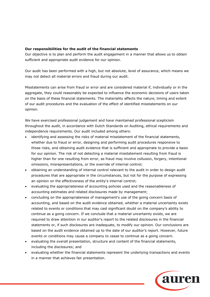#### **Our responsibilities for the audit of the financial statements**

Our objective is to plan and perform the audit engagement in a manner that allows us to obtain sufficient and appropriate audit evidence for our opinion.

Our audit has been performed with a high, but not absolute, level of assurance, which means we may not detect all material errors and fraud during our audit.

Misstatements can arise from fraud or error and are considered material if, individually or in the aggregate, they could reasonably be expected to influence the economic decisions of users taken on the basis of these financial statements. The materiality affects the nature, timing and extent of our audit procedures and the evaluation of the effect of identified misstatements on our opinion.

We have exercised professional judgement and have maintained professional scepticism throughout the audit, in accordance with Dutch Standards on Auditing, ethical requirements and independence requirements. Our audit included among others:

- identifying and assessing the risks of material misstatement of the financial statements, whether due to fraud or error, designing and performing audit procedures responsive to those risks, and obtaining audit evidence that is sufficient and appropriate to provide a basis for our opinion. The risk of not detecting a material misstatement resulting from fraud is higher than for one resulting from error, as fraud may involve collusion, forgery, intentional omissions, misrepresentations, or the override of internal control;
- obtaining an understanding of internal control relevant to the audit in order to design audit procedures that are appropriate in the circumstances, but not for the purpose of expressing an opinion on the effectiveness of the entity's internal control;
- evaluating the appropriateness of accounting policies used and the reasonableness of accounting estimates and related disclosures made by management;
- concluding on the appropriateness of management's use of the going concern basis of accounting, and based on the audit evidence obtained, whether a material uncertainty exists related to events or conditions that may cast significant doubt on the company's ability to continue as a going concern. If we conclude that a material uncertainty exists, we are required to draw attention in our auditor's report to the related disclosures in the financial statements or, if such disclosures are inadequate, to modify our opinion. Our conclusions are based on the audit evidence obtained up to the date of our auditor's report. However, future events or conditions may cause a company to cease to continue as a going concern.
- evaluating the overall presentation, structure and content of the financial statements, including the disclosures; and
- evaluating whether the financial statements represent the underlying transactions and events in a manner that achieves fair presentation.